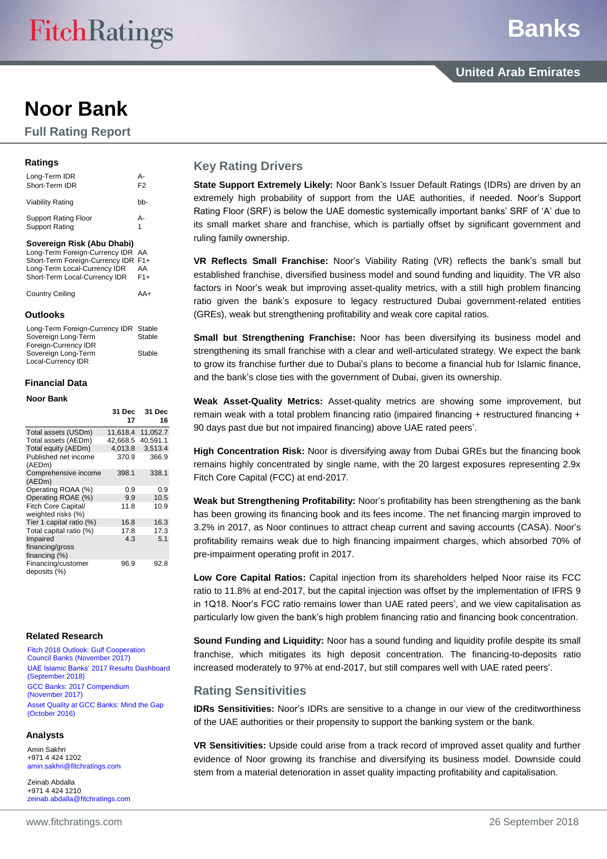## **Noor Bank**

**Full Rating Report**

#### **Ratings**

| Long-Term IDR<br>Short-Term IDR                                          | А-<br>F <sub>2</sub> |
|--------------------------------------------------------------------------|----------------------|
| Viability Rating                                                         | hh-                  |
| <b>Support Rating Floor</b><br><b>Support Rating</b>                     | А-<br>1              |
| Sovereign Risk (Abu Dhabi)                                               |                      |
| Long-Term Foreign-Currency IDR AA<br>Short-Term Foreign-Currency IDR F1+ |                      |

| Long-Term Local-Currency IDR  | AA    |
|-------------------------------|-------|
| Short-Term Local-Currency IDR | $F1+$ |
| Country Ceiling               | AA+   |

#### **Outlooks**

| Long-Term Foreign-Currency IDR Stable |        |
|---------------------------------------|--------|
| Sovereign Long-Term                   | Stable |
| Foreign-Currency IDR                  |        |
| Sovereign Long-Term                   | Stable |
| Local-Currency IDR                    |        |

#### **Financial Data**

#### **Noor Bank**

|                                           | 31 Dec<br>17 | 31 Dec<br>16 |
|-------------------------------------------|--------------|--------------|
| Total assets (USDm)                       | 11,618.4     | 11,052.7     |
| Total assets (AEDm)                       | 42.668.5     | 40.591.1     |
| Total equity (AEDm)                       | 4,013.8      | 3,513.4      |
| Published net income<br>(AEDm)            | 370.9        | 366.9        |
| Comprehensive income<br>(AEDm)            | 398.1        | 338.1        |
| Operating ROAA (%)                        | 0.9          | 0.9          |
| Operating ROAE (%)                        | 9.9          | 10.5         |
| Fitch Core Capital/<br>weighted risks (%) | 11.8         | 10.9         |
| Tier 1 capital ratio (%)                  | 16.8         | 16.3         |
| Total capital ratio (%)                   | 17.8         | 17.3         |
| Impaired                                  | 4.3          | 5.1          |
| financing/gross<br>financing $(\%)$       |              |              |
| Financing/customer<br>deposits (%)        | 96.9         | 92.8         |

#### **Related Research**

[Fitch 2018 Outlook: Gulf Cooperation](https://www.fitchratings.com/site/re/906664)  [Council Banks \(November 2017\)](https://www.fitchratings.com/site/re/906664) [UAE Islamic Banks' 2017 Results Dashboard](https://www.fitchratings.com/site/re/10044868)  [\(September](https://www.fitchratings.com/site/re/10044868) 2018) [GCC Banks: 2017 Compendium](https://www.fitchratings.com/site/re/905452)  [\(November 2017\)](https://www.fitchratings.com/site/re/905452) [Asset Quality at GCC Banks: Mind the Gap](https://www.fitchratings.com/site/re/886792)  [\(October](https://www.fitchratings.com/site/re/886792) 2016)

#### **Analysts**

Amin Sakhri +971 4 424 1202 [amin.sakhri@fitchratings.com](mailto:amin.sakhri@fitchratings.com)

Zeinab Abdalla +971 4 424 1210 [zeinab.abdalla@fitchratings.com](mailto:zeinab.abdalla@fitchratings.com)

## **Key Rating Drivers**

**State Support Extremely Likely:** Noor Bank's Issuer Default Ratings (IDRs) are driven by an extremely high probability of support from the UAE authorities, if needed. Noor's Support Rating Floor (SRF) is below the UAE domestic systemically important banks' SRF of 'A' due to its small market share and franchise, which is partially offset by significant government and ruling family ownership.

**VR Reflects Small Franchise:** Noor's Viability Rating (VR) reflects the bank's small but established franchise, diversified business model and sound funding and liquidity. The VR also factors in Noor's weak but improving asset-quality metrics, with a still high problem financing ratio given the bank's exposure to legacy restructured Dubai government-related entities (GREs), weak but strengthening profitability and weak core capital ratios.

**Small but Strengthening Franchise:** Noor has been diversifying its business model and strengthening its small franchise with a clear and well-articulated strategy. We expect the bank to grow its franchise further due to Dubai's plans to become a financial hub for Islamic finance, and the bank's close ties with the government of Dubai, given its ownership.

**Weak Asset-Quality Metrics:** Asset-quality metrics are showing some improvement, but remain weak with a total problem financing ratio (impaired financing + restructured financing + 90 days past due but not impaired financing) above UAE rated peers'.

**High Concentration Risk:** Noor is diversifying away from Dubai GREs but the financing book remains highly concentrated by single name, with the 20 largest exposures representing 2.9x Fitch Core Capital (FCC) at end-2017.

**Weak but Strengthening Profitability:** Noor's profitability has been strengthening as the bank has been growing its financing book and its fees income. The net financing margin improved to 3.2% in 2017, as Noor continues to attract cheap current and saving accounts (CASA). Noor's profitability remains weak due to high financing impairment charges, which absorbed 70% of pre-impairment operating profit in 2017.

**Low Core Capital Ratios:** Capital injection from its shareholders helped Noor raise its FCC ratio to 11.8% at end-2017, but the capital injection was offset by the implementation of IFRS 9 in 1Q18. Noor's FCC ratio remains lower than UAE rated peers', and we view capitalisation as particularly low given the bank's high problem financing ratio and financing book concentration.

**Sound Funding and Liquidity:** Noor has a sound funding and liquidity profile despite its small franchise, which mitigates its high deposit concentration. The financing-to-deposits ratio increased moderately to 97% at end-2017, but still compares well with UAE rated peers'.

## **Rating Sensitivities**

**IDRs Sensitivities:** Noor's IDRs are sensitive to a change in our view of the creditworthiness of the UAE authorities or their propensity to support the banking system or the bank.

**VR Sensitivities:** Upside could arise from a track record of improved asset quality and further evidence of Noor growing its franchise and diversifying its business model. Downside could stem from a material deterioration in asset quality impacting profitability and capitalisation.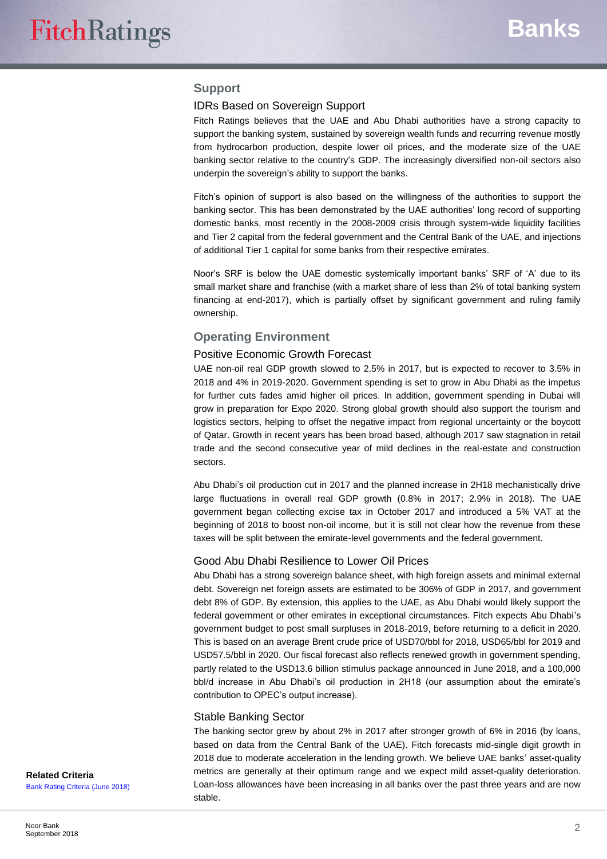## **Support**

#### IDRs Based on Sovereign Support

Fitch Ratings believes that the UAE and Abu Dhabi authorities have a strong capacity to support the banking system, sustained by sovereign wealth funds and recurring revenue mostly from hydrocarbon production, despite lower oil prices, and the moderate size of the UAE banking sector relative to the country's GDP. The increasingly diversified non-oil sectors also underpin the sovereign's ability to support the banks.

Fitch's opinion of support is also based on the willingness of the authorities to support the banking sector. This has been demonstrated by the UAE authorities' long record of supporting domestic banks, most recently in the 2008-2009 crisis through system-wide liquidity facilities and Tier 2 capital from the federal government and the Central Bank of the UAE, and injections of additional Tier 1 capital for some banks from their respective emirates.

Noor's SRF is below the UAE domestic systemically important banks' SRF of 'A' due to its small market share and franchise (with a market share of less than 2% of total banking system financing at end-2017), which is partially offset by significant government and ruling family ownership.

#### **Operating Environment**

#### Positive Economic Growth Forecast

UAE non-oil real GDP growth slowed to 2.5% in 2017, but is expected to recover to 3.5% in 2018 and 4% in 2019-2020. Government spending is set to grow in Abu Dhabi as the impetus for further cuts fades amid higher oil prices. In addition, government spending in Dubai will grow in preparation for Expo 2020. Strong global growth should also support the tourism and logistics sectors, helping to offset the negative impact from regional uncertainty or the boycott of Qatar. Growth in recent years has been broad based, although 2017 saw stagnation in retail trade and the second consecutive year of mild declines in the real-estate and construction sectors.

Abu Dhabi's oil production cut in 2017 and the planned increase in 2H18 mechanistically drive large fluctuations in overall real GDP growth (0.8% in 2017; 2.9% in 2018). The UAE government began collecting excise tax in October 2017 and introduced a 5% VAT at the beginning of 2018 to boost non-oil income, but it is still not clear how the revenue from these taxes will be split between the emirate-level governments and the federal government.

#### Good Abu Dhabi Resilience to Lower Oil Prices

Abu Dhabi has a strong sovereign balance sheet, with high foreign assets and minimal external debt. Sovereign net foreign assets are estimated to be 306% of GDP in 2017, and government debt 8% of GDP. By extension, this applies to the UAE, as Abu Dhabi would likely support the federal government or other emirates in exceptional circumstances. Fitch expects Abu Dhabi's government budget to post small surpluses in 2018-2019, before returning to a deficit in 2020. This is based on an average Brent crude price of USD70/bbl for 2018, USD65/bbl for 2019 and USD57.5/bbl in 2020. Our fiscal forecast also reflects renewed growth in government spending, partly related to the USD13.6 billion stimulus package announced in June 2018, and a 100,000 bbl/d increase in Abu Dhabi's oil production in 2H18 (our assumption about the emirate's contribution to OPEC's output increase).

#### Stable Banking Sector

The banking sector grew by about 2% in 2017 after stronger growth of 6% in 2016 (by loans, based on data from the Central Bank of the UAE). Fitch forecasts mid-single digit growth in 2018 due to moderate acceleration in the lending growth. We believe UAE banks' asset-quality metrics are generally at their optimum range and we expect mild asset-quality deterioration. Loan-loss allowances have been increasing in all banks over the past three years and are now stable.

**Related Criteria** [Bank Rating Criteria \(June 2018\)](https://www.fitchratings.com/site/re/10034713)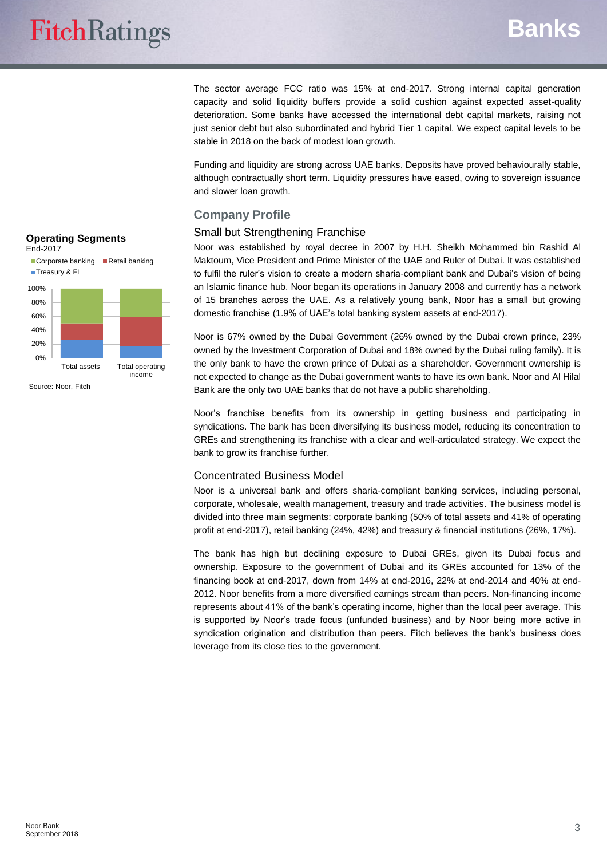The sector average FCC ratio was 15% at end-2017. Strong internal capital generation capacity and solid liquidity buffers provide a solid cushion against expected asset-quality deterioration. Some banks have accessed the international debt capital markets, raising not just senior debt but also subordinated and hybrid Tier 1 capital. We expect capital levels to be stable in 2018 on the back of modest loan growth.

Funding and liquidity are strong across UAE banks. Deposits have proved behaviourally stable, although contractually short term. Liquidity pressures have eased, owing to sovereign issuance and slower loan growth.

## **Company Profile**

## Small but Strengthening Franchise

Noor was established by royal decree in 2007 by H.H. Sheikh Mohammed bin Rashid Al Maktoum, Vice President and Prime Minister of the UAE and Ruler of Dubai. It was established to fulfil the ruler's vision to create a modern sharia-compliant bank and Dubai's vision of being an Islamic finance hub. Noor began its operations in January 2008 and currently has a network of 15 branches across the UAE. As a relatively young bank, Noor has a small but growing domestic franchise (1.9% of UAE's total banking system assets at end-2017).

Noor is 67% owned by the Dubai Government (26% owned by the Dubai crown prince, 23% owned by the Investment Corporation of Dubai and 18% owned by the Dubai ruling family). It is the only bank to have the crown prince of Dubai as a shareholder. Government ownership is not expected to change as the Dubai government wants to have its own bank. Noor and Al Hilal Bank are the only two UAE banks that do not have a public shareholding.

Noor's franchise benefits from its ownership in getting business and participating in syndications. The bank has been diversifying its business model, reducing its concentration to GREs and strengthening its franchise with a clear and well-articulated strategy. We expect the bank to grow its franchise further.

### Concentrated Business Model

Noor is a universal bank and offers sharia-compliant banking services, including personal, corporate, wholesale, wealth management, treasury and trade activities. The business model is divided into three main segments: corporate banking (50% of total assets and 41% of operating profit at end-2017), retail banking (24%, 42%) and treasury & financial institutions (26%, 17%).

The bank has high but declining exposure to Dubai GREs, given its Dubai focus and ownership. Exposure to the government of Dubai and its GREs accounted for 13% of the financing book at end-2017, down from 14% at end-2016, 22% at end-2014 and 40% at end-2012. Noor benefits from a more diversified earnings stream than peers. Non-financing income represents about 41% of the bank's operating income, higher than the local peer average. This is supported by Noor's trade focus (unfunded business) and by Noor being more active in syndication origination and distribution than peers. Fitch believes the bank's business does leverage from its close ties to the government.

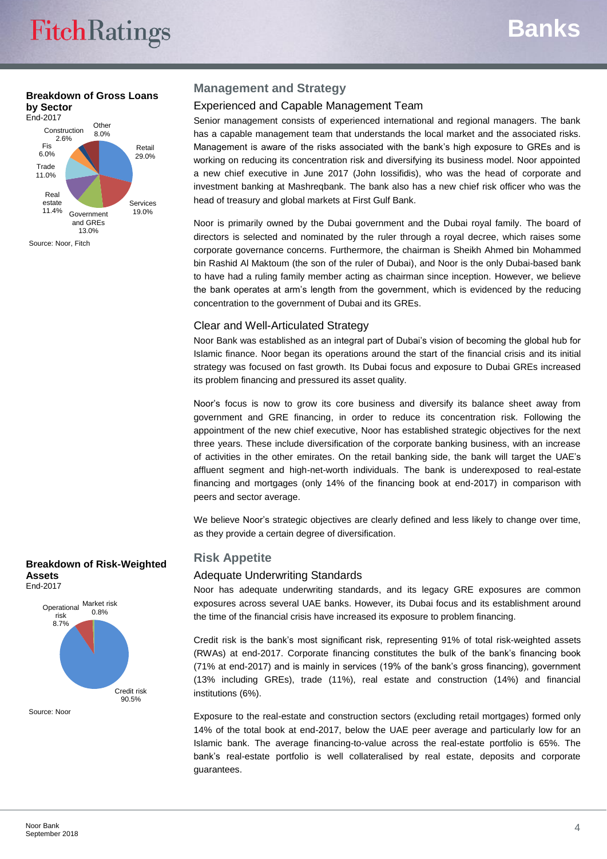#### **Breakdown of Gross Loans by Sector** End-2017



## **Management and Strategy**

## Experienced and Capable Management Team

Senior management consists of experienced international and regional managers. The bank has a capable management team that understands the local market and the associated risks. Management is aware of the risks associated with the bank's high exposure to GREs and is working on reducing its concentration risk and diversifying its business model. Noor appointed a new chief executive in June 2017 (John Iossifidis), who was the head of corporate and investment banking at Mashreqbank. The bank also has a new chief risk officer who was the head of treasury and global markets at First Gulf Bank.

Noor is primarily owned by the Dubai government and the Dubai royal family. The board of directors is selected and nominated by the ruler through a royal decree, which raises some corporate governance concerns. Furthermore, the chairman is Sheikh Ahmed bin Mohammed bin Rashid Al Maktoum (the son of the ruler of Dubai), and Noor is the only Dubai-based bank to have had a ruling family member acting as chairman since inception. However, we believe the bank operates at arm's length from the government, which is evidenced by the reducing concentration to the government of Dubai and its GREs.

## Clear and Well-Articulated Strategy

Noor Bank was established as an integral part of Dubai's vision of becoming the global hub for Islamic finance. Noor began its operations around the start of the financial crisis and its initial strategy was focused on fast growth. Its Dubai focus and exposure to Dubai GREs increased its problem financing and pressured its asset quality.

Noor's focus is now to grow its core business and diversify its balance sheet away from government and GRE financing, in order to reduce its concentration risk. Following the appointment of the new chief executive, Noor has established strategic objectives for the next three years. These include diversification of the corporate banking business, with an increase of activities in the other emirates. On the retail banking side, the bank will target the UAE's affluent segment and high-net-worth individuals. The bank is underexposed to real-estate financing and mortgages (only 14% of the financing book at end-2017) in comparison with peers and sector average.

We believe Noor's strategic objectives are clearly defined and less likely to change over time, as they provide a certain degree of diversification.

## **Risk Appetite**

## Adequate Underwriting Standards

Noor has adequate underwriting standards, and its legacy GRE exposures are common exposures across several UAE banks. However, its Dubai focus and its establishment around the time of the financial crisis have increased its exposure to problem financing.

Credit risk is the bank's most significant risk, representing 91% of total risk-weighted assets (RWAs) at end-2017. Corporate financing constitutes the bulk of the bank's financing book (71% at end-2017) and is mainly in services (19% of the bank's gross financing), government (13% including GREs), trade (11%), real estate and construction (14%) and financial institutions (6%).

Exposure to the real-estate and construction sectors (excluding retail mortgages) formed only 14% of the total book at end-2017, below the UAE peer average and particularly low for an Islamic bank. The average financing-to-value across the real-estate portfolio is 65%. The bank's real-estate portfolio is well collateralised by real estate, deposits and corporate guarantees.

#### **Breakdown of Risk-Weighted Assets** End-2017



Source: Noor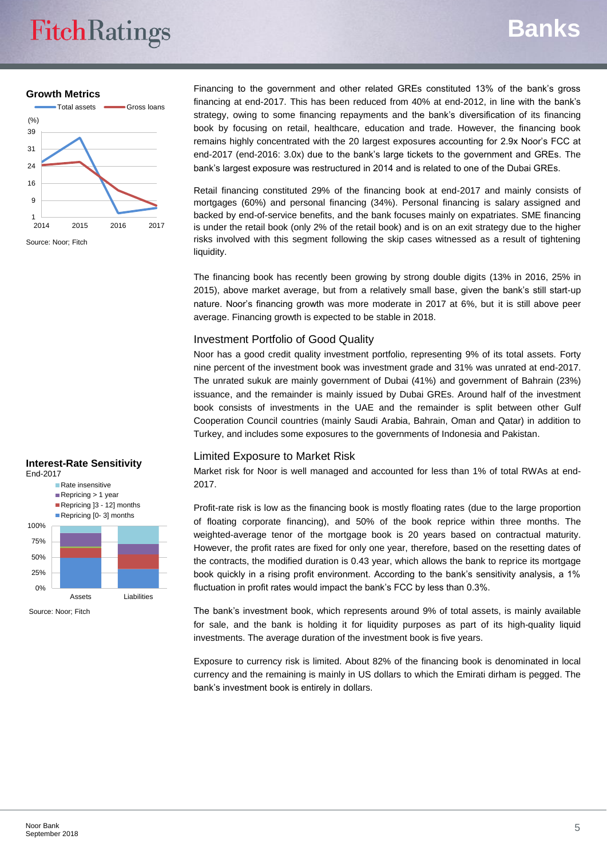# **FitchRatings**

# **Banks**

**Growth Metrics**



Financing to the government and other related GREs constituted 13% of the bank's gross financing at end-2017. This has been reduced from 40% at end-2012, in line with the bank's strategy, owing to some financing repayments and the bank's diversification of its financing book by focusing on retail, healthcare, education and trade. However, the financing book remains highly concentrated with the 20 largest exposures accounting for 2.9x Noor's FCC at end-2017 (end-2016: 3.0x) due to the bank's large tickets to the government and GREs. The bank's largest exposure was restructured in 2014 and is related to one of the Dubai GREs.

Retail financing constituted 29% of the financing book at end-2017 and mainly consists of mortgages (60%) and personal financing (34%). Personal financing is salary assigned and backed by end-of-service benefits, and the bank focuses mainly on expatriates. SME financing is under the retail book (only 2% of the retail book) and is on an exit strategy due to the higher risks involved with this segment following the skip cases witnessed as a result of tightening liquidity.

The financing book has recently been growing by strong double digits (13% in 2016, 25% in 2015), above market average, but from a relatively small base, given the bank's still start-up nature. Noor's financing growth was more moderate in 2017 at 6%, but it is still above peer average. Financing growth is expected to be stable in 2018.

## Investment Portfolio of Good Quality

Noor has a good credit quality investment portfolio, representing 9% of its total assets. Forty nine percent of the investment book was investment grade and 31% was unrated at end-2017. The unrated sukuk are mainly government of Dubai (41%) and government of Bahrain (23%) issuance, and the remainder is mainly issued by Dubai GREs. Around half of the investment book consists of investments in the UAE and the remainder is split between other Gulf Cooperation Council countries (mainly Saudi Arabia, Bahrain, Oman and Qatar) in addition to Turkey, and includes some exposures to the governments of Indonesia and Pakistan.

## Limited Exposure to Market Risk

Market risk for Noor is well managed and accounted for less than 1% of total RWAs at end-2017.

Profit-rate risk is low as the financing book is mostly floating rates (due to the large proportion of floating corporate financing), and 50% of the book reprice within three months. The weighted-average tenor of the mortgage book is 20 years based on contractual maturity. However, the profit rates are fixed for only one year, therefore, based on the resetting dates of the contracts, the modified duration is 0.43 year, which allows the bank to reprice its mortgage book quickly in a rising profit environment. According to the bank's sensitivity analysis, a 1% fluctuation in profit rates would impact the bank's FCC by less than 0.3%.

The bank's investment book, which represents around 9% of total assets, is mainly available for sale, and the bank is holding it for liquidity purposes as part of its high-quality liquid investments. The average duration of the investment book is five years.

Exposure to currency risk is limited. About 82% of the financing book is denominated in local currency and the remaining is mainly in US dollars to which the Emirati dirham is pegged. The bank's investment book is entirely in dollars.

#### **Interest-Rate Sensitivity** End-2017

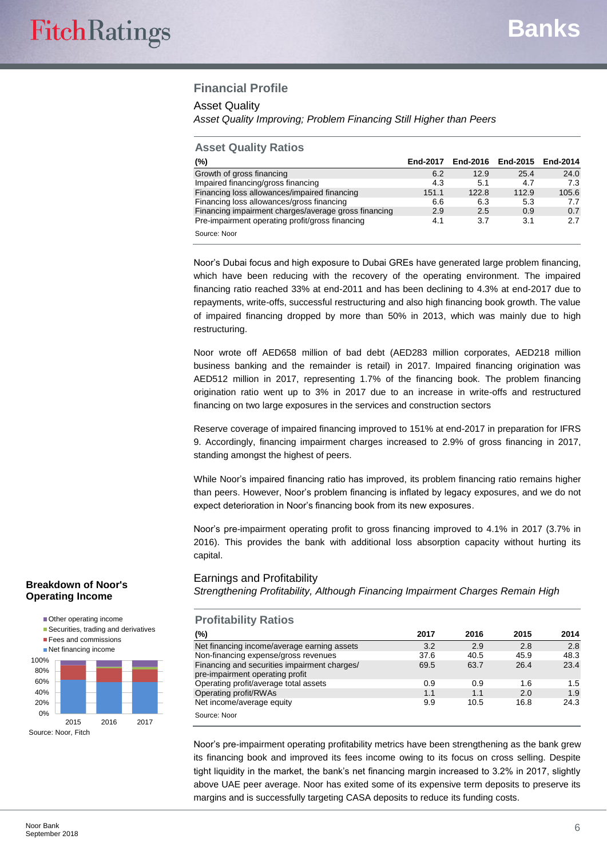## **Financial Profile**

#### Asset Quality

*Asset Quality Improving; Problem Financing Still Higher than Peers*

#### **Asset Quality Ratios**

| (%)                                                  | End-2017 | End-2016 | End-2015 | End-2014 |
|------------------------------------------------------|----------|----------|----------|----------|
| Growth of gross financing                            | 6.2      | 12.9     | 25.4     | 24.0     |
| Impaired financing/gross financing                   | 4.3      | 5.1      | 4.7      | 7.3      |
| Financing loss allowances/impaired financing         | 151.1    | 122.8    | 112.9    | 105.6    |
| Financing loss allowances/gross financing            | 6.6      | 6.3      | 5.3      | 7.7      |
| Financing impairment charges/average gross financing | 2.9      | 2.5      | 0.9      | 0.7      |
| Pre-impairment operating profit/gross financing      | 4.1      | 3.7      | 3.1      | 2.7      |
| Source: Noor                                         |          |          |          |          |

Noor's Dubai focus and high exposure to Dubai GREs have generated large problem financing, which have been reducing with the recovery of the operating environment. The impaired financing ratio reached 33% at end-2011 and has been declining to 4.3% at end-2017 due to repayments, write-offs, successful restructuring and also high financing book growth. The value of impaired financing dropped by more than 50% in 2013, which was mainly due to high restructuring.

Noor wrote off AED658 million of bad debt (AED283 million corporates, AED218 million business banking and the remainder is retail) in 2017. Impaired financing origination was AED512 million in 2017, representing 1.7% of the financing book. The problem financing origination ratio went up to 3% in 2017 due to an increase in write-offs and restructured financing on two large exposures in the services and construction sectors

Reserve coverage of impaired financing improved to 151% at end-2017 in preparation for IFRS 9. Accordingly, financing impairment charges increased to 2.9% of gross financing in 2017, standing amongst the highest of peers.

While Noor's impaired financing ratio has improved, its problem financing ratio remains higher than peers. However, Noor's problem financing is inflated by legacy exposures, and we do not expect deterioration in Noor's financing book from its new exposures.

Noor's pre-impairment operating profit to gross financing improved to 4.1% in 2017 (3.7% in 2016). This provides the bank with additional loss absorption capacity without hurting its capital.

## Earnings and Profitability

*Strengthening Profitability, Although Financing Impairment Charges Remain High*

| (%)                                                                             | 2017 | 2016 | 2015 | 2014 |
|---------------------------------------------------------------------------------|------|------|------|------|
| Net financing income/average earning assets                                     | 3.2  | 2.9  | 2.8  | 2.8  |
| Non-financing expense/gross revenues                                            | 37.6 | 40.5 | 45.9 | 48.3 |
| Financing and securities impairment charges/<br>pre-impairment operating profit | 69.5 | 63.7 | 26.4 | 23.4 |
| Operating profit/average total assets                                           | 0.9  | 0.9  | 1.6  | 1.5  |
| Operating profit/RWAs                                                           | 1.1  | 1.1  | 2.0  | 1.9  |
| Net income/average equity                                                       | 9.9  | 10.5 | 16.8 | 24.3 |

Noor's pre-impairment operating profitability metrics have been strengthening as the bank grew its financing book and improved its fees income owing to its focus on cross selling. Despite tight liquidity in the market, the bank's net financing margin increased to 3.2% in 2017, slightly above UAE peer average. Noor has exited some of its expensive term deposits to preserve its margins and is successfully targeting CASA deposits to reduce its funding costs.

### **Breakdown of Noor's Operating Income**

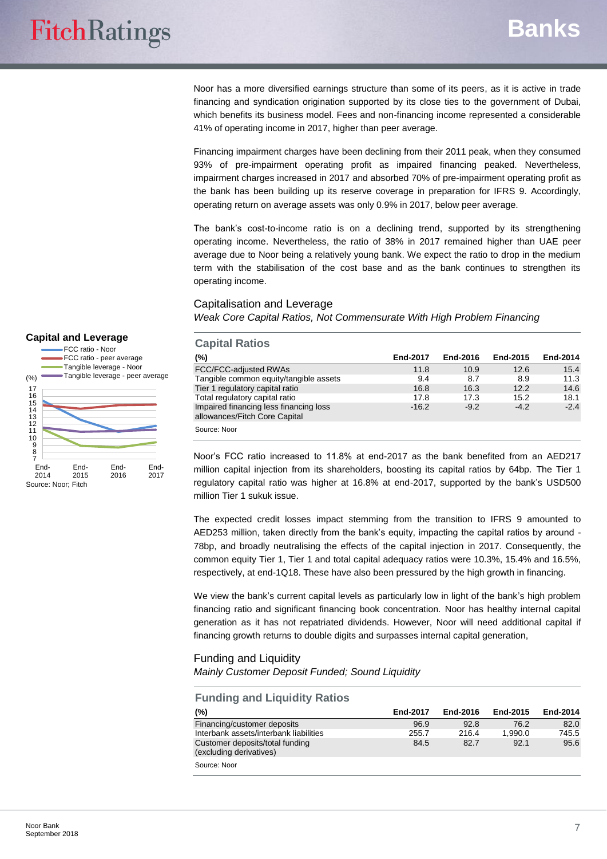Noor has a more diversified earnings structure than some of its peers, as it is active in trade financing and syndication origination supported by its close ties to the government of Dubai, which benefits its business model. Fees and non-financing income represented a considerable 41% of operating income in 2017, higher than peer average.

Financing impairment charges have been declining from their 2011 peak, when they consumed 93% of pre-impairment operating profit as impaired financing peaked. Nevertheless, impairment charges increased in 2017 and absorbed 70% of pre-impairment operating profit as the bank has been building up its reserve coverage in preparation for IFRS 9. Accordingly, operating return on average assets was only 0.9% in 2017, below peer average.

The bank's cost-to-income ratio is on a declining trend, supported by its strengthening operating income. Nevertheless, the ratio of 38% in 2017 remained higher than UAE peer average due to Noor being a relatively young bank. We expect the ratio to drop in the medium term with the stabilisation of the cost base and as the bank continues to strengthen its operating income.

#### Capitalisation and Leverage

*Weak Core Capital Ratios, Not Commensurate With High Problem Financing*

#### **Capital Ratios (%) End-2017 End-2016 End-2015 End-2014** FCC/FCC-adjusted RWAs 11.8 10.9 12.6 15.4 Tangible common equity/tangible assets  $\begin{array}{cccc} 9.4 & 8.7 & 8.9 & 11.3 \\ -16.8 & 16.3 & 12.2 & 14.6 \end{array}$ Tier 1 regulatory capital ratio 16.8 16.3 12.2 14.6 Total regulatory capital ratio 17.8 17.8 15.2 18.1<br>18.1 17.3 15.2 18.1 17.3 15.2 18.1 17.3 15.2 15.2 Impaired financing less financing loss allowances/Fitch Core Capital  $-16.2$   $-9.2$   $-4.2$   $-2.4$ Source: Noor

Noor's FCC ratio increased to 11.8% at end-2017 as the bank benefited from an AED217 million capital injection from its shareholders, boosting its capital ratios by 64bp. The Tier 1 regulatory capital ratio was higher at 16.8% at end-2017, supported by the bank's USD500 million Tier 1 sukuk issue.

The expected credit losses impact stemming from the transition to IFRS 9 amounted to AED253 million, taken directly from the bank's equity, impacting the capital ratios by around - 78bp, and broadly neutralising the effects of the capital injection in 2017. Consequently, the common equity Tier 1, Tier 1 and total capital adequacy ratios were 10.3%, 15.4% and 16.5%, respectively, at end-1Q18. These have also been pressured by the high growth in financing.

We view the bank's current capital levels as particularly low in light of the bank's high problem financing ratio and significant financing book concentration. Noor has healthy internal capital generation as it has not repatriated dividends. However, Noor will need additional capital if financing growth returns to double digits and surpasses internal capital generation,

## Funding and Liquidity *Mainly Customer Deposit Funded; Sound Liquidity*

| <b>Funding and Liquidity Ratios</b>                        |          |          |          |          |
|------------------------------------------------------------|----------|----------|----------|----------|
| (%)                                                        | End-2017 | End-2016 | End-2015 | End-2014 |
| Financing/customer deposits                                | 96.9     | 92.8     | 76.2     | 82.0     |
| Interbank assets/interbank liabilities                     | 255.7    | 216.4    | 1.990.0  | 745.5    |
| Customer deposits/total funding<br>(excluding derivatives) | 84.5     | 82.7     | 92.1     | 95.6     |
| Source: Noor                                               |          |          |          |          |

#### FCC ratio - Noor FCC ratio - peer average Tangible leverage - Noor (%)

**Capital and Leverage**

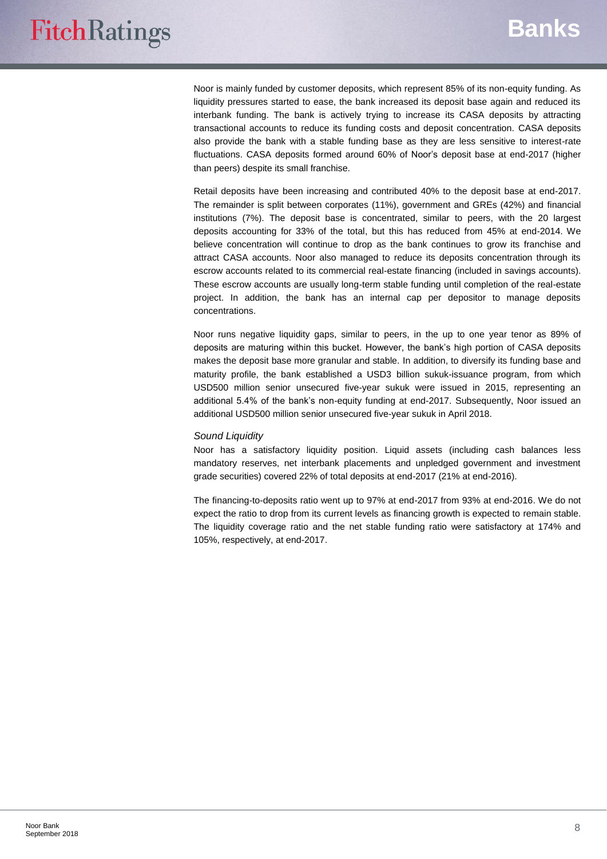Noor is mainly funded by customer deposits, which represent 85% of its non-equity funding. As liquidity pressures started to ease, the bank increased its deposit base again and reduced its interbank funding. The bank is actively trying to increase its CASA deposits by attracting transactional accounts to reduce its funding costs and deposit concentration. CASA deposits also provide the bank with a stable funding base as they are less sensitive to interest-rate fluctuations. CASA deposits formed around 60% of Noor's deposit base at end-2017 (higher than peers) despite its small franchise.

Retail deposits have been increasing and contributed 40% to the deposit base at end-2017. The remainder is split between corporates (11%), government and GREs (42%) and financial institutions (7%). The deposit base is concentrated, similar to peers, with the 20 largest deposits accounting for 33% of the total, but this has reduced from 45% at end-2014. We believe concentration will continue to drop as the bank continues to grow its franchise and attract CASA accounts. Noor also managed to reduce its deposits concentration through its escrow accounts related to its commercial real-estate financing (included in savings accounts). These escrow accounts are usually long-term stable funding until completion of the real-estate project. In addition, the bank has an internal cap per depositor to manage deposits concentrations.

Noor runs negative liquidity gaps, similar to peers, in the up to one year tenor as 89% of deposits are maturing within this bucket. However, the bank's high portion of CASA deposits makes the deposit base more granular and stable. In addition, to diversify its funding base and maturity profile, the bank established a USD3 billion sukuk-issuance program, from which USD500 million senior unsecured five-year sukuk were issued in 2015, representing an additional 5.4% of the bank's non-equity funding at end-2017. Subsequently, Noor issued an additional USD500 million senior unsecured five-year sukuk in April 2018.

#### *Sound Liquidity*

Noor has a satisfactory liquidity position. Liquid assets (including cash balances less mandatory reserves, net interbank placements and unpledged government and investment grade securities) covered 22% of total deposits at end-2017 (21% at end-2016).

The financing-to-deposits ratio went up to 97% at end-2017 from 93% at end-2016. We do not expect the ratio to drop from its current levels as financing growth is expected to remain stable. The liquidity coverage ratio and the net stable funding ratio were satisfactory at 174% and 105%, respectively, at end-2017.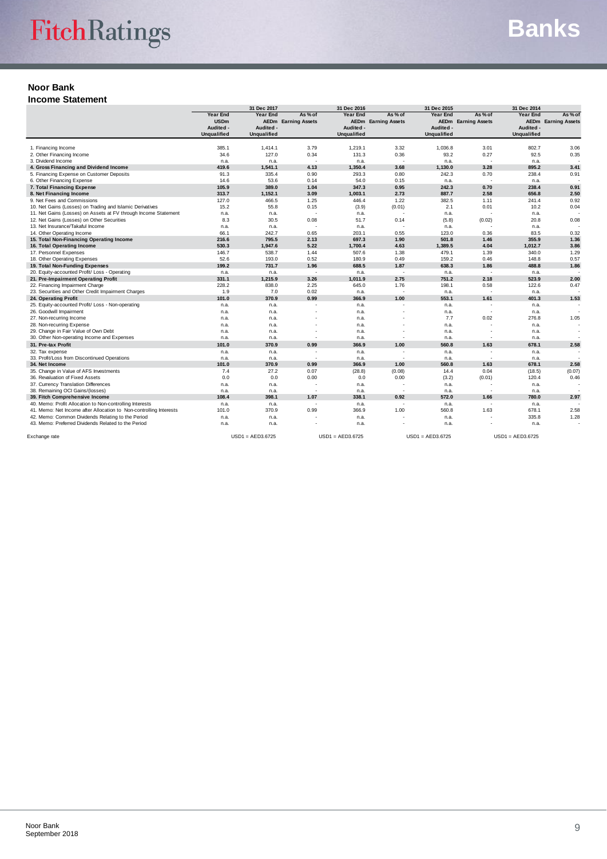## **Noor Bank**

**Income Statement**

|                                                                    | 31 Dec 2017        |                    | 31 Dec 2016              |                    | 31 Dec 2015                |                    | 31 Dec 2014                |                    |                            |  |
|--------------------------------------------------------------------|--------------------|--------------------|--------------------------|--------------------|----------------------------|--------------------|----------------------------|--------------------|----------------------------|--|
|                                                                    | <b>Year End</b>    | <b>Year End</b>    | As % of                  | Year End           | As % of                    | Year End           | As % of                    | Year End           | As % of                    |  |
|                                                                    | <b>USDm</b>        | <b>AEDm</b>        | <b>Earning Assets</b>    |                    | <b>AEDm</b> Earning Assets |                    | <b>AEDm</b> Earning Assets |                    | <b>AEDm</b> Earning Assets |  |
|                                                                    | Audited -          | Audited -          |                          | Audited -          |                            | Audited -          |                            | Audited -          |                            |  |
|                                                                    | <b>Unqualified</b> | <b>Unqualified</b> |                          | <b>Unqualified</b> |                            | <b>Unqualified</b> |                            | <b>Unqualified</b> |                            |  |
|                                                                    |                    |                    |                          |                    |                            |                    |                            |                    |                            |  |
| 1. Financing Income                                                | 385.1              | 1,414.1            | 3.79                     | 1,219.1            | 3.32                       | 1,036.8            | 3.01                       | 802.7              | 3.06                       |  |
| 2. Other Financing Income                                          | 34.6               | 127.0              | 0.34                     | 131.3              | 0.36                       | 93.2               | 0.27                       | 92.5               | 0.35                       |  |
| 3. Dividend Income                                                 | n.a.               | n.a.               |                          | n.a.               | $\overline{\phantom{a}}$   | n.a.               | $\overline{\phantom{a}}$   | n.a.               |                            |  |
| 4. Gross Financing and Dividend Income                             | 419.6              | 1,541.1            | 4.13                     | 1,350.4            | 3.68                       | 1,130.0            | 3.28                       | 895.2              | 3.41                       |  |
| 5. Financing Expense on Customer Deposits                          | 91.3               | 335.4              | 0.90                     | 293.3              | 0.80                       | 242.3              | 0.70                       | 238.4              | 0.91                       |  |
| 6. Other Financing Expense                                         | 14.6               | 53.6               | 0.14                     | 54.0               | 0.15                       | n.a.               | $\overline{\phantom{a}}$   | n.a.               |                            |  |
| 7. Total Financing Expense                                         | 105.9              | 389.0              | 1.04                     | 347.3              | 0.95                       | 242.3              | 0.70                       | 238.4              | 0.91                       |  |
| 8. Net Financing Income                                            | 313.7              | 1,152.1            | 3.09                     | 1,003.1            | 2.73                       | 887.7              | 2.58                       | 656.8              | 2.50                       |  |
| 9. Net Fees and Commissions                                        | 127.0              | 466.5              | 1.25                     | 446.4              | 1.22                       | 382.5              | 1.11                       | 241.4              | 0.92                       |  |
| 10. Net Gains (Losses) on Trading and Islamic Derivatives          | 15.2               | 55.8               | 0.15                     | (3.9)              | (0.01)                     | 2.1                | 0.01                       | 10.2               | 0.04                       |  |
| 11. Net Gains (Losses) on Assets at FV through Income Statement    | n.a.               | n.a.               |                          | n.a.               |                            | n.a.               |                            | n.a.               |                            |  |
| 12. Net Gains (Losses) on Other Securities                         | 8.3                | 30.5               | 0.08                     | 51.7               | 0.14                       | (5.8)              | (0.02)                     | 20.8               | 0.08                       |  |
| 13. Net Insurance/Takaful Income                                   | n.a.               | n.a.               | $\overline{\phantom{a}}$ | n.a.               |                            | n.a.               |                            | n.a.               |                            |  |
| 14. Other Operating Income                                         | 66.1               | 242.7              | 0.65                     | 203.1              | 0.55                       | 123.0              | 0.36                       | 83.5               | 0.32                       |  |
| 15. Total Non-Financing Operating Income                           | 216.6              | 795.5              | 2.13                     | 697.3              | 1.90                       | 501.8              | 1.46                       | 355.9              | 1.36                       |  |
| 16. Total Operating Income                                         | 530.3              | 1,947.6            | 5.22                     | 1,700.4            | 4.63                       | 1,389.5            | 4.04                       | 1,012.7            | 3.86                       |  |
| 17. Personnel Expenses                                             | 146.7              | 538.7              | 1.44                     | 507.6              | 1.38                       | 479.1              | 1.39                       | 340.0              | 1.29                       |  |
| 18. Other Operating Expenses                                       | 52.6               | 193.0              | 0.52                     | 180.9              | 0.49                       | 159.2              | 0.46                       | 148.8              | 0.57                       |  |
|                                                                    |                    |                    |                          |                    |                            |                    |                            |                    |                            |  |
| 19. Total Non-Funding Expenses                                     | 199.2              | 731.7              | 1.96                     | 688.5              | 1.87                       | 638.3              | 1.86                       | 488.8              | 1.86                       |  |
| 20. Equity-accounted Profit/ Loss - Operating                      | n.a.               | n.a.               | $\overline{\phantom{a}}$ | n.a.               | $\sim$                     | n.a.               | $\overline{\phantom{a}}$   | n.a.               |                            |  |
| 21. Pre-Impairment Operating Profit                                | 331.1              | 1,215.9            | 3.26                     | 1,011.9            | 2.75                       | 751.2              | 2.18                       | 523.9              | 2.00                       |  |
| 22. Financing Impairment Charge                                    | 228.2              | 838.0              | 2.25                     | 645.0              | 1.76                       | 198.1              | 0.58                       | 122.6              | 0.47                       |  |
| 23. Securities and Other Credit Impairment Charges                 | 1.9                | 7.0                | 0.02                     | n.a.               |                            | n.a.               |                            | n.a.               |                            |  |
| 24. Operating Profit                                               | 101.0              | 370.9              | 0.99                     | 366.9              | 1.00                       | 553.1              | 1.61                       | 401.3              | 1.53                       |  |
| 25. Equity-accounted Profit/ Loss - Non-operating                  | n.a.               | n.a.               | $\overline{\phantom{a}}$ | n.a.               | $\overline{\phantom{a}}$   | n.a.               | ۰.                         | n.a.               |                            |  |
| 26. Goodwill Impairment                                            | n.a.               | n.a.               |                          | n.a.               |                            | n.a.               | ۰.                         | n.a.               |                            |  |
| 27. Non-recurring Income                                           | n.a.               | n.a.               |                          | n.a.               |                            | 7.7                | 0.02                       | 276.8              | 1.05                       |  |
| 28. Non-recurring Expense                                          | n.a.               | n.a.               |                          | n.a.               |                            | n.a.               | $\overline{\phantom{a}}$   | n.a.               |                            |  |
| 29. Change in Fair Value of Own Debt                               | n.a.               | n.a.               |                          | n.a.               |                            | n.a.               | $\overline{\phantom{a}}$   | n.a.               |                            |  |
| 30. Other Non-operating Income and Expenses                        | n.a.               | n.a.               | $\overline{\phantom{0}}$ | n.a.               | $\overline{\phantom{a}}$   | n.a.               | ۰.                         | n.a.               |                            |  |
| 31. Pre-tax Profit                                                 | 101.0              | 370.9              | 0.99                     | 366.9              | 1.00                       | 560.8              | 1.63                       | 678.1              | 2.58                       |  |
| 32. Tax expense                                                    | n.a.               | n.a.               |                          | n.a.               |                            | n.a.               | $\overline{\phantom{a}}$   | n.a.               |                            |  |
| 33. Profit/Loss from Discontinued Operations                       | n.a.               | n.a.               | $\overline{\phantom{a}}$ | n.a.               | $\overline{\phantom{a}}$   | n.a.               | $\overline{\phantom{a}}$   | n.a.               |                            |  |
| 34. Net Income                                                     | 101.0              | 370.9              | 0.99                     | 366.9              | 1.00                       | 560.8              | 1.63                       | 678.1              | 2.58                       |  |
| 35. Change in Value of AFS Investments                             | 7.4                | 27.2               | 0.07                     | (28.8)             | (0.08)                     | 14.4               | 0.04                       | (18.5)             | (0.07)                     |  |
| 36. Revaluation of Fixed Assets                                    | 0.0                | 0.0                | 0.00                     | 0.0                | 0.00                       | (3.2)              | (0.01)                     | 120.4              | 0.46                       |  |
| 37. Currency Translation Differences                               | n.a.               | n.a.               | $\overline{\phantom{a}}$ | n.a.               | $\overline{\phantom{a}}$   | n.a.               | $\overline{\phantom{a}}$   | n.a.               |                            |  |
| 38. Remaining OCI Gains/(losses)                                   | n.a.               | n.a.               | $\overline{\phantom{a}}$ | n.a.               | $\sim$                     | n.a.               | $\overline{\phantom{a}}$   | n.a.               |                            |  |
| 39. Fitch Comprehensive Income                                     | 108.4              | 398.1              | 1.07                     | 338.1              | 0.92                       | 572.0              | 1.66                       | 780.0              | 2.97                       |  |
| 40. Memo: Profit Allocation to Non-controlling Interests           | n.a.               | n.a.               | $\overline{\phantom{a}}$ | n.a.               | $\overline{\phantom{a}}$   | n.a.               | $\overline{\phantom{a}}$   | n.a.               |                            |  |
| 41. Memo: Net Income after Allocation to Non-controlling Interests | 101.0              | 370.9              | 0.99                     | 366.9              | 1.00                       | 560.8              | 1.63                       | 678.1              | 2.58                       |  |
| 42. Memo: Common Dividends Relating to the Period                  |                    |                    |                          |                    |                            |                    |                            | 335.8              | 1.28                       |  |
| 43. Memo: Preferred Dividends Related to the Period                | n.a.               | n.a.               |                          | n.a.               |                            | n.a.               |                            |                    |                            |  |
|                                                                    | n.a.               | n.a.               |                          | n.a.               |                            | n.a.               |                            | n.a.               |                            |  |
| Exchange rate                                                      |                    | $USD1 = AED3.6725$ |                          | $USD1 = AED3.6725$ |                            | $USD1 = AED3.6725$ |                            | $USD1 = AED3.6725$ |                            |  |
|                                                                    |                    |                    |                          |                    |                            |                    |                            |                    |                            |  |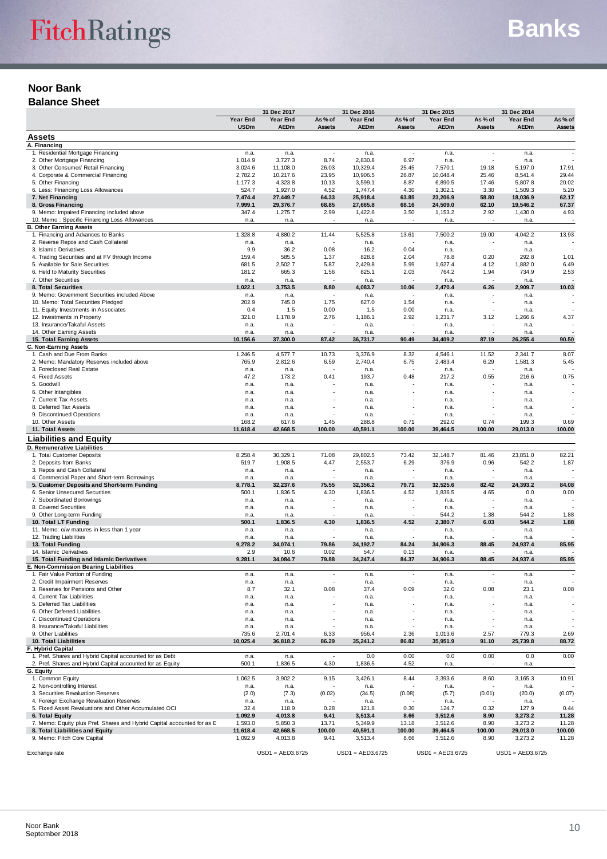## **Noor Bank Balance Sheet**

|                                                                                            |                    | 31 Dec 2017        |                          | 31 Dec 2016        |                          | 31 Dec 2015        |              | 31 Dec 2014        |                |
|--------------------------------------------------------------------------------------------|--------------------|--------------------|--------------------------|--------------------|--------------------------|--------------------|--------------|--------------------|----------------|
|                                                                                            | Year End           | Year End           | As % of                  | Year End           | As % of                  | Year End           | As % of      | Year End           | As % of        |
|                                                                                            | <b>USDm</b>        | <b>AEDm</b>        | Assets                   | <b>AEDm</b>        | <b>Assets</b>            | <b>AEDm</b>        | Assets       | <b>AEDm</b>        | Assets         |
| <b>Assets</b>                                                                              |                    |                    |                          |                    |                          |                    |              |                    |                |
| A. Financing<br>1. Residential Mortgage Financing                                          | n.a.               | n.a.               | $\overline{\phantom{a}}$ | n.a.               | $\overline{\phantom{a}}$ | n.a.               | ÷,           | n.a.               |                |
| 2. Other Mortgage Financing                                                                | 1,014.9            | 3,727.3            | 8.74                     | 2,830.8            | 6.97                     | n.a.               |              | n.a.               |                |
| 3. Other Consumer/ Retail Financing                                                        | 3,024.6            | 11,108.0           | 26.03                    | 10,329.4           | 25.45                    | 7,570.1            | 19.18        | 5,197.0            | 17.91          |
| 4. Corporate & Commercial Financing                                                        | 2,782.2            | 10,217.6           | 23.95                    | 10,906.5           | 26.87                    | 10,048.4           | 25.46        | 8,541.4            | 29.44          |
| 5. Other Financing                                                                         | 1,177.3            | 4,323.8            | 10.13                    | 3,599.1            | 8.87                     | 6,890.5            | 17.46        | 5,807.8            | 20.02          |
| 6. Less: Financing Loss Allowances                                                         | 524.7              | 1,927.0            | 4.52                     | 1,747.4            | 4.30                     | 1,302.1            | 3.30         | 1,509.3            | 5.20           |
| 7. Net Financing                                                                           | 7,474.4            | 27,449.7           | 64.33                    | 25,918.4           | 63.85                    | 23,206.9           | 58.80        | 18,036.9           | 62.17          |
| 8. Gross Financing                                                                         | 7,999.1            | 29,376.7           | 68.85                    | 27,665.8           | 68.16                    | 24,509.0           | 62.10        | 19,546.2           | 67.37          |
| 9. Memo: Impaired Financing included above                                                 | 347.4              | 1,275.7            | 2.99                     | 1,422.6            | 3.50                     | 1,153.2            | 2.92         | 1,430.0            | 4.93           |
| 10. Memo: Specific Financing Loss Allowances                                               | n.a.               | n.a.               |                          | n.a.               |                          | n.a.               | ÷,           | n.a.               |                |
| <b>B. Other Earning Assets</b><br>1. Financing and Advances to Banks                       | 1,328.8            | 4,880.2            | 11.44                    | 5,525.8            | 13.61                    | 7,500.2            | 19.00        | 4,042.2            | 13.93          |
| 2. Reverse Repos and Cash Collateral                                                       | n.a.               | n.a.               |                          | n.a.               |                          | n.a.               | ×,           | n.a.               |                |
| 3. Islamic Derivatives                                                                     | 9.9                | 36.2               | 0.08                     | 16.2               | 0.04                     | n.a.               | $\sim$       | n.a.               |                |
| 4. Trading Securities and at FV through Income                                             | 159.4              | 585.5              | 1.37                     | 828.8              | 2.04                     | 78.8               | 0.20         | 292.8              | 1.01           |
| 5. Available for Sale Securities                                                           | 681.5              | 2,502.7            | 5.87                     | 2,429.8            | 5.99                     | 1,627.4            | 4.12         | 1,882.0            | 6.49           |
| 6. Held to Maturity Securities                                                             | 181.2              | 665.3              | 1.56                     | 825.1              | 2.03                     | 764.2              | 1.94         | 734.9              | 2.53           |
| 7. Other Securities                                                                        | n.a.               | n.a.               |                          | n.a.               |                          | n.a.               |              | n.a.               |                |
| 8. Total Securities                                                                        | 1,022.1            | 3,753.5            | 8.80                     | 4,083.7            | 10.06                    | 2,470.4            | 6.26         | 2,909.7            | 10.03          |
| 9. Memo: Government Securities included Above                                              | n.a.               | n.a.               |                          | n.a.               | $\overline{\phantom{a}}$ | n.a.               |              | n.a.               |                |
| 10. Memo: Total Securities Pledged                                                         | 202.9              | 745.0              | 1.75                     | 627.0              | 1.54                     | n.a.               | ٠            | n.a.               |                |
| 11. Equity Investments in Associates<br>12. Investments in Property                        | 0.4<br>321.0       | 1.5                | 0.00                     | 1.5                | 0.00<br>2.92             | n.a.               |              | n.a.               |                |
| 13. Insurance/Takaful Assets                                                               | n.a.               | 1,178.9<br>n.a.    | 2.76                     | 1,186.1<br>n.a.    |                          | 1,231.7<br>n.a.    | 3.12         | 1,266.6<br>n.a.    | 4.37           |
| 14. Other Earning Assets                                                                   | n.a.               | n.a.               |                          | n.a.               |                          | n.a.               |              | n.a.               |                |
| 15. Total Earning Assets                                                                   | 10,156.6           | 37,300.0           | 87.42                    | 36,731.7           | 90.49                    | 34,409.2           | 87.19        | 26,255.4           | 90.50          |
| C. Non-Earning Assets                                                                      |                    |                    |                          |                    |                          |                    |              |                    |                |
| 1. Cash and Due From Banks                                                                 | 1,246.5            | 4,577.7            | 10.73                    | 3,376.9            | 8.32                     | 4,546.1            | 11.52        | 2,341.7            | 8.07           |
| 2. Memo: Mandatory Reserves included above                                                 | 765.9              | 2,812.6            | 6.59                     | 2,740.4            | 6.75                     | 2,483.4            | 6.29         | 1,581.3            | 5.45           |
| 3. Foreclosed Real Estate                                                                  | n.a.               | n.a.               |                          | n.a.               |                          | n.a.               | ä,           | n.a.               |                |
| 4. Fixed Assets                                                                            | 47.2               | 173.2              | 0.41                     | 193.7              | 0.48                     | 217.2              | 0.55         | 216.6              | 0.75           |
| 5. Goodwill                                                                                | n.a.               | n.a.               |                          | n.a.               |                          | n.a.               |              | n.a.               |                |
| 6. Other Intangibles                                                                       | n.a.               | n.a.               |                          | n.a.               |                          | n.a.               |              | n.a.               |                |
| 7. Current Tax Assets                                                                      | n.a.               | n.a.               |                          | n.a.               |                          | n.a.               |              | n.a.               |                |
| 8. Deferred Tax Assets                                                                     | n.a.               | n.a.               |                          | n.a.               |                          | n.a.               |              | n.a.               |                |
| 9. Discontinued Operations<br>10. Other Assets                                             | n.a.<br>168.2      | n.a.<br>617.6      | 1.45                     | n.a.<br>288.8      | 0.71                     | n.a.<br>292.0      | 0.74         | n.a.<br>199.3      | 0.69           |
| 11. Total Assets                                                                           | 11,618.4           | 42,668.5           | 100.00                   | 40,591.1           | 100.00                   | 39,464.5           | 100.00       | 29,013.0           | 100.00         |
| <b>Liabilities and Equity</b>                                                              |                    |                    |                          |                    |                          |                    |              |                    |                |
| D. Remunerative Liabilities                                                                |                    |                    |                          |                    |                          |                    |              |                    |                |
| 1. Total Customer Deposits                                                                 | 8,258.4            | 30,329.1           | 71.08                    | 29,802.5           | 73.42                    | 32,148.7           | 81.46        | 23,851.0           | 82.21          |
| 2. Deposits from Banks                                                                     | 519.7              | 1,908.5            | 4.47                     | 2,553.7            | 6.29                     | 376.9              | 0.96         | 542.2              | 1.87           |
| 3. Repos and Cash Collateral                                                               | n.a.               | n.a.               |                          | n.a.               |                          | n.a.               | ٠            | n.a.               |                |
| 4. Commercial Paper and Short-term Borrowings                                              | n.a.               | n.a.               |                          | n.a.               |                          | n.a.               |              | n.a.               |                |
| 5. Customer Deposits and Short-term Funding                                                | 8,778.1            | 32,237.6           | 75.55                    | 32,356.2           | 79.71                    | 32,525.6           | 82.42        | 24,393.2           | 84.08          |
| 6. Senior Unsecured Securities                                                             | 500.1              | 1,836.5            | 4.30                     | 1,836.5            | 4.52                     | 1,836.5            | 4.65         | 0.0                | 0.00           |
| 7. Subordinated Borrowings                                                                 | n.a.               | n.a.               |                          | n.a.               |                          | n.a.               | ×,           | n.a.               |                |
| 8. Covered Securities                                                                      | n.a.               | n.a.               |                          | n.a.               | ٠                        | n.a.               | ٠            | n.a.               |                |
| 9. Other Long-term Funding                                                                 | n.a.               | n.a.               |                          | n.a.               |                          | 544.2              | 1.38         | 544.2              | 1.88           |
| 10. Total LT Funding                                                                       | 500.1              | 1,836.5            | 4.30                     | 1,836.5            | 4.52                     | 2,380.7            | 6.03         | 544.2              | 1.88           |
| 11. Memo: o/w matures in less than 1 year                                                  | n.a.<br>n.a.       | n.a.               |                          | n.a.<br>n.a.       |                          | n.a.               |              | n.a.<br>n.a.       |                |
| 12. Trading Liabilities<br>13. Total Funding                                               | 9,278.2            | n.a.<br>34,074.1   | 79.86                    | 34,192.7           | 84.24                    | n.a.<br>34,906.3   | 88.45        | 24,937.4           | 85.95          |
| 14. Islamic Derivatives                                                                    | 2.9                | 10.6               | 0.02                     | 54.7               | 0.13                     | n.a.               |              | n.a.               |                |
| 15. Total Funding and Islamic Derivatives                                                  | 9,281.1            | 34,084.7           | 79.88                    | 34,247.4           | 84.37                    | 34,906.3           | 88.45        | 24,937.4           | 85.95          |
| Non-Commission Bearing Liabilities                                                         |                    |                    |                          |                    |                          |                    |              |                    |                |
| 1. Fair Value Portion of Funding                                                           | n.a.               | n.a.               | $\overline{\phantom{a}}$ | n.a.               | $\overline{\phantom{a}}$ | n.a.               | ٠            | n.a.               |                |
| 2. Credit Impairment Reserves                                                              | n.a.               | n.a.               |                          | n.a.               |                          | n.a.               |              | n.a.               |                |
| 3. Reserves for Pensions and Other                                                         | 8.7                | 32.1               | 0.08                     | 37.4               | 0.09                     | 32.0               | 0.08         | 23.1               | 0.08           |
| 4. Current Tax Liabilities                                                                 | n.a.               | n.a.               |                          | n.a.               |                          | n.a.               |              | n.a.               |                |
| 5. Deferred Tax Liabilities                                                                | n.a.               | n.a.               |                          | n.a.               |                          | n.a.               |              | n.a.               |                |
| 6. Other Deferred Liabilities                                                              | n.a.               | n.a.               |                          | n.a.               |                          | n.a.               |              | n.a.               |                |
| 7. Discontinued Operations<br>8. Insurance/Takaful Liabilities                             | n.a.               | n.a.               |                          | n.a.               |                          | n.a.               |              | n.a.               |                |
| 9. Other Liabilities                                                                       | n.a.<br>735.6      | n.a.<br>2,701.4    | 6.33                     | n.a.<br>956.4      | 2.36                     | n.a.<br>1,013.6    | 2.57         | n.a.<br>779.3      | 2.69           |
| 10. Total Liabilities                                                                      | 10,025.4           | 36,818.2           | 86.29                    | 35,241.2           | 86.82                    | 35,951.9           | 91.10        | 25,739.8           | 88.72          |
| F. Hybrid Capital                                                                          |                    |                    |                          |                    |                          |                    |              |                    |                |
| 1. Pref. Shares and Hybrid Capital accounted for as Debt                                   | n.a.               | n.a.               |                          | 0.0                | 0.00                     | 0.0                | 0.00         | 0.0                | 0.00           |
| 2. Pref. Shares and Hybrid Capital accounted for as Equity                                 | 500.1              | 1,836.5            | 4.30                     | 1,836.5            | 4.52                     | n.a.               | ÷,           | n.a.               |                |
| G. Equity                                                                                  |                    |                    |                          |                    |                          |                    |              |                    |                |
| 1. Common Equity                                                                           | 1,062.5            | 3,902.2            | 9.15                     | 3,426.1            | 8.44                     | 3,393.6            | 8.60         | 3,165.3            | 10.91          |
| 2. Non-controlling Interest                                                                | n.a.               | n.a.               |                          | n.a.               |                          | n.a.               |              | n.a.               |                |
| 3. Securities Revaluation Reserves                                                         | (2.0)              | (7.3)              | (0.02)                   | (34.5)             | (0.08)                   | (5.7)              | (0.01)       | (20.0)             | (0.07)         |
| 4. Foreign Exchange Revaluation Reserves                                                   | n.a.               | n.a.               |                          | n.a.               |                          | n.a.               |              | n.a.               |                |
| 5. Fixed Asset Revaluations and Other Accumulated OCI                                      | 32.4               | 118.9              | 0.28                     | 121.8              | 0.30                     | 124.7              | 0.32         | 127.9              | 0.44           |
| 6. Total Equity<br>7. Memo: Equity plus Pref. Shares and Hybrid Capital accounted for as E | 1,092.9<br>1,593.0 | 4,013.8<br>5,850.3 | 9.41<br>13.71            | 3,513.4<br>5,349.9 | 8.66<br>13.18            | 3,512.6<br>3,512.6 | 8.90<br>8.90 | 3,273.2<br>3,273.2 | 11.28<br>11.28 |
| 8. Total Liabilities and Equity                                                            | 11,618.4           | 42,668.5           | 100.00                   | 40,591.1           | 100.00                   | 39,464.5           | 100.00       | 29,013.0           | 100.00         |
|                                                                                            |                    |                    |                          |                    |                          |                    |              |                    |                |
| 9. Memo: Fitch Core Capital                                                                | 1,092.9            | 4,013.8            | 9.41                     | 3,513.4            | 8.66                     | 3,512.6            | 8.90         | 3,273.2            | 11.28          |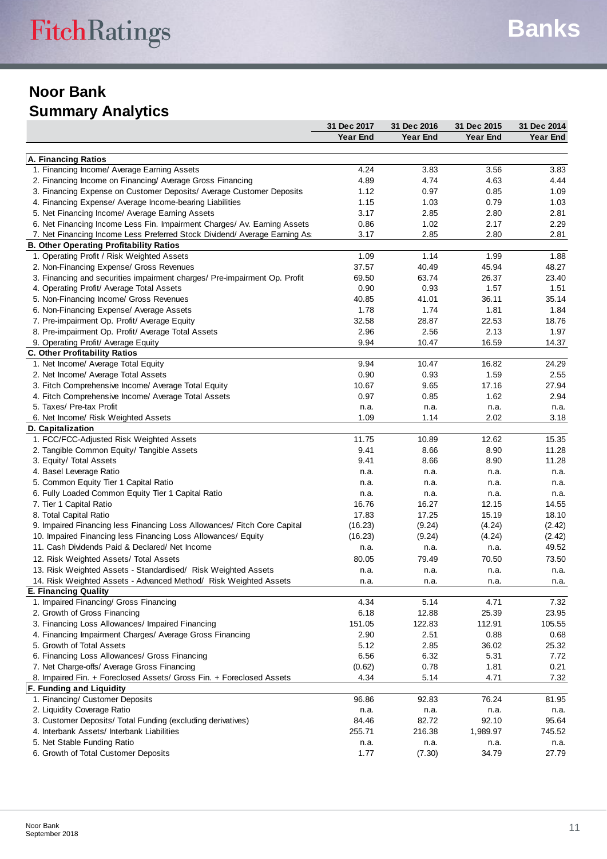## **Noor Bank Summary Analytics**

|                                                                           | 31 Dec 2017 | 31 Dec 2016     | 31 Dec 2015     | 31 Dec 2014     |
|---------------------------------------------------------------------------|-------------|-----------------|-----------------|-----------------|
|                                                                           | Year End    | <b>Year End</b> | <b>Year End</b> | <b>Year End</b> |
|                                                                           |             |                 |                 |                 |
| A. Financing Ratios                                                       |             |                 |                 |                 |
| 1. Financing Income/ Average Earning Assets                               | 4.24        | 3.83            | 3.56            | 3.83            |
| 2. Financing Income on Financing/ Average Gross Financing                 | 4.89        | 4.74            | 4.63            | 4.44            |
| 3. Financing Expense on Customer Deposits/ Average Customer Deposits      | 1.12        | 0.97            | 0.85            | 1.09            |
| 4. Financing Expense/ Average Income-bearing Liabilities                  | 1.15        | 1.03            | 0.79            | 1.03            |
| 5. Net Financing Income/ Average Earning Assets                           | 3.17        | 2.85            | 2.80            | 2.81            |
| 6. Net Financing Income Less Fin. Impairment Charges/ Av. Earning Assets  | 0.86        | 1.02            | 2.17            | 2.29            |
| 7. Net Financing Income Less Preferred Stock Dividend/ Average Earning As | 3.17        | 2.85            | 2.80            | 2.81            |
| <b>B. Other Operating Profitability Ratios</b>                            |             |                 |                 |                 |
| 1. Operating Profit / Risk Weighted Assets                                | 1.09        | 1.14            | 1.99            | 1.88            |
| 2. Non-Financing Expense/ Gross Revenues                                  | 37.57       | 40.49           | 45.94           | 48.27           |
| 3. Financing and securities impairment charges/ Pre-impairment Op. Profit | 69.50       | 63.74           | 26.37           | 23.40           |
| 4. Operating Profit/ Average Total Assets                                 | 0.90        | 0.93            | 1.57            | 1.51            |
| 5. Non-Financing Income/ Gross Revenues                                   | 40.85       | 41.01           | 36.11           | 35.14           |
| 6. Non-Financing Expense/ Average Assets                                  | 1.78        | 1.74            | 1.81            | 1.84            |
| 7. Pre-impairment Op. Profit/ Average Equity                              | 32.58       | 28.87           | 22.53           | 18.76           |
| 8. Pre-impairment Op. Profit/ Average Total Assets                        | 2.96        | 2.56            | 2.13            | 1.97            |
| 9. Operating Profit/ Average Equity                                       | 9.94        | 10.47           | 16.59           | 14.37           |
| C. Other Profitability Ratios                                             |             |                 |                 |                 |
| 1. Net Income/ Average Total Equity                                       | 9.94        | 10.47           | 16.82           | 24.29           |
| 2. Net Income/ Average Total Assets                                       | 0.90        | 0.93            | 1.59            | 2.55            |
| 3. Fitch Comprehensive Income/ Average Total Equity                       | 10.67       | 9.65            | 17.16           | 27.94           |
| 4. Fitch Comprehensive Income/ Average Total Assets                       | 0.97        | 0.85            | 1.62            | 2.94            |
| 5. Taxes/ Pre-tax Profit                                                  | n.a.        | n.a.            | n.a.            | n.a.            |
| 6. Net Income/ Risk Weighted Assets                                       | 1.09        | 1.14            | 2.02            | 3.18            |
| D. Capitalization                                                         |             |                 |                 |                 |
| 1. FCC/FCC-Adjusted Risk Weighted Assets                                  | 11.75       | 10.89           | 12.62           | 15.35           |
| 2. Tangible Common Equity/ Tangible Assets                                | 9.41        | 8.66            | 8.90            | 11.28           |
| 3. Equity/ Total Assets                                                   | 9.41        | 8.66            | 8.90            | 11.28           |
| 4. Basel Leverage Ratio                                                   |             |                 |                 |                 |
|                                                                           | n.a.        | n.a.            | n.a.            | n.a.            |
| 5. Common Equity Tier 1 Capital Ratio                                     | n.a.        | n.a.            | n.a.            | n.a.            |
| 6. Fully Loaded Common Equity Tier 1 Capital Ratio                        | n.a.        | n.a.            | n.a.            | n.a.            |
| 7. Tier 1 Capital Ratio                                                   | 16.76       | 16.27           | 12.15           | 14.55           |
| 8. Total Capital Ratio                                                    | 17.83       | 17.25           | 15.19           | 18.10           |
| 9. Impaired Financing less Financing Loss Allowances/ Fitch Core Capital  | (16.23)     | (9.24)          | (4.24)          | (2.42)          |
| 10. Impaired Financing less Financing Loss Allowances/ Equity             | (16.23)     | (9.24)          | (4.24)          | (2.42)          |
| 11. Cash Dividends Paid & Declared/ Net Income                            | n.a.        | n.a.            | n.a.            | 49.52           |
| 12. Risk Weighted Assets/ Total Assets                                    | 80.05       | 79.49           | 70.50           | 73.50           |
| 13. Risk Weighted Assets - Standardised/ Risk Weighted Assets             | n.a.        | n.a.            | n.a.            | n.a.            |
| 14. Risk Weighted Assets - Advanced Method/ Risk Weighted Assets          | n.a.        | n.a.            | n.a.            | n.a.            |
| <b>E. Financing Quality</b>                                               |             |                 |                 |                 |
| 1. Impaired Financing/ Gross Financing                                    | 4.34        | 5.14            | 4.71            | 7.32            |
| 2. Growth of Gross Financing                                              | 6.18        | 12.88           | 25.39           | 23.95           |
| 3. Financing Loss Allowances/ Impaired Financing                          | 151.05      | 122.83          | 112.91          | 105.55          |
| 4. Financing Impairment Charges/ Average Gross Financing                  | 2.90        | 2.51            | 0.88            | 0.68            |
| 5. Growth of Total Assets                                                 | 5.12        | 2.85            | 36.02           | 25.32           |
| 6. Financing Loss Allowances/ Gross Financing                             | 6.56        | 6.32            | 5.31            | 7.72            |
| 7. Net Charge-offs/ Average Gross Financing                               | (0.62)      | 0.78            | 1.81            | 0.21            |
| 8. Impaired Fin. + Foreclosed Assets/ Gross Fin. + Foreclosed Assets      | 4.34        | 5.14            | 4.71            | 7.32            |
| F. Funding and Liquidity                                                  |             |                 |                 |                 |
| 1. Financing/ Customer Deposits                                           | 96.86       | 92.83           | 76.24           | 81.95           |
| 2. Liquidity Coverage Ratio                                               | n.a.        | n.a.            | n.a.            | n.a.            |
| 3. Customer Deposits/ Total Funding (excluding derivatives)               | 84.46       | 82.72           | 92.10           | 95.64           |
| 4. Interbank Assets/ Interbank Liabilities                                | 255.71      | 216.38          | 1,989.97        | 745.52          |
| 5. Net Stable Funding Ratio                                               | n.a.        | n.a.            | n.a.            | n.a.            |
| 6. Growth of Total Customer Deposits                                      | 1.77        | (7.30)          | 34.79           | 27.79           |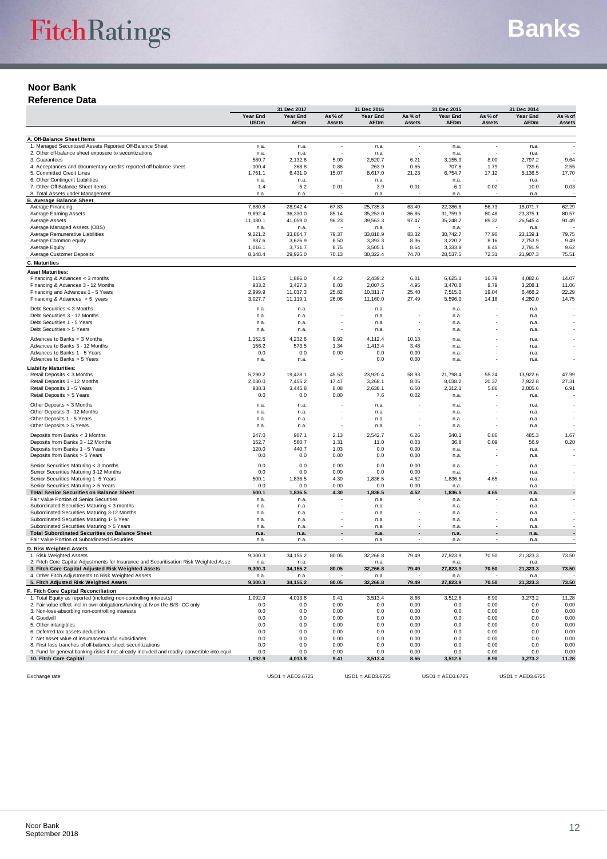#### **Noor Bank Reference Data**

|                                                                                                                                              | 31 Dec 2017             |                      |                   | 31 Dec 2016             |                   | 31 Dec 2015             | 31 Dec 2014       |                         |                   |
|----------------------------------------------------------------------------------------------------------------------------------------------|-------------------------|----------------------|-------------------|-------------------------|-------------------|-------------------------|-------------------|-------------------------|-------------------|
|                                                                                                                                              | Year End<br><b>USDm</b> | Year End<br>AEDm     | As % of<br>Assets | Year End<br><b>AEDm</b> | As % of<br>Assets | Year End<br><b>AEDm</b> | As % of<br>Assets | Year End<br><b>AEDm</b> | As % of<br>Assets |
|                                                                                                                                              |                         |                      |                   |                         |                   |                         |                   |                         |                   |
| A. Off-Balance Sheet Items                                                                                                                   |                         |                      |                   |                         |                   |                         |                   |                         |                   |
| 1. Managed Securitized Assets Reported Off-Balance Sheet                                                                                     | n.a.                    | n.a.                 |                   | n.a.                    |                   | n.a.                    |                   | n.a.                    |                   |
| 2. Other off-balance sheet exposure to securitizations<br>3. Guarantees                                                                      | n.a.<br>580.7           | n.a.<br>2,132.6      | 5.00              | n.a.<br>2,520.7         | 6.21              | n.a.<br>3,155.9         | 8.00              | n.a.<br>2,797.2         | 9.64              |
| 4. Acceptances and documentary credits reported off-balance sheet                                                                            | 100.4                   | 368.8                | 0.86              | 263.9                   | 0.65              | 707.6                   | 1.79              | 739.6                   | 2.55              |
| 5. Committed Credit Lines                                                                                                                    | 1,751.1                 | 6,431.0              | 15.07             | 8,617.0                 | 21.23             | 6,754.7                 | 17.12             | 5,136.5                 | 17.70             |
| 6. Other Contingent Liabilities                                                                                                              | n.a.                    | n.a.                 |                   | n.a.                    |                   | n.a.                    |                   | n.a.                    |                   |
| 7. Other Off-Balance Sheet items<br>8. Total Assets under Management                                                                         | 1.4<br>n.a.             | 5.2<br>n.a.          | 0.01              | 3.9<br>n.a.             | 0.01              | 6.1<br>n.a.             | 0.02              | 10.0<br>n.a.            | 0.03              |
| <b>B. Average Balance Sheet</b>                                                                                                              |                         |                      |                   |                         |                   |                         |                   |                         |                   |
| Average Financing                                                                                                                            | 7,880.8                 | 28,942.4             | 67.83             | 25,735.3                | 63.40             | 22.386.6                | 56.73             | 18,071.7                | 62.29             |
| Average Earning Assets<br>Average Assets                                                                                                     | 9,892.4<br>11,180.1     | 36,330.0<br>41,059.0 | 85.14<br>96.23    | 35,253.0<br>39,563.3    | 86.85<br>97.47    | 31,759.9<br>35,248.7    | 80.48<br>89.32    | 23,375.1<br>26,545.4    | 80.57<br>91.49    |
| Average Managed Assets (OBS)                                                                                                                 | n.a.                    | n.a.                 |                   | n.a.                    |                   | n.a.                    |                   | n.a.                    |                   |
| Average Remunerative Liabilities                                                                                                             | 9,221.2                 | 33,864.7             | 79.37             | 33,818.9                | 83.32             | 30,742.7                | 77.90             | 23, 139.1               | 79.75             |
| Average Common equity                                                                                                                        | 987.6                   | 3,626.9              | 8.50              | 3,393.3                 | 8.36              | 3,220.2                 | 8.16              | 2,753.9                 | 9.49              |
| Average Equity<br>Average Customer Deposits                                                                                                  | 1,016.1<br>8,148.4      | 3,731.7<br>29,925.0  | 8.75<br>70.13     | 3,505.1<br>30,322.4     | 8.64<br>74.70     | 3,333.8<br>28,537.5     | 8.45<br>72.31     | 2,791.9<br>21,907.3     | 9.62<br>75.51     |
| C. Maturities                                                                                                                                |                         |                      |                   |                         |                   |                         |                   |                         |                   |
| <b>Asset Maturities:</b>                                                                                                                     |                         |                      |                   |                         |                   |                         |                   |                         |                   |
| Financing & Advances < 3 months                                                                                                              | 513.5                   | 1,886.0              | 4.42              | 2,439.2                 | 6.01              | 6,625.1                 | 16.79             | 4,082.6                 | 14.07             |
| Financing & Advances 3 - 12 Months                                                                                                           | 933.2                   | 3,427.3              | 8.03              | 2,007.5                 | 4.95              | 3,470.8                 | 8.79              | 3,208.1                 | 11.06             |
| Financing and Advances 1 - 5 Years                                                                                                           | 2,999.9                 | 11,017.3             | 25.82             | 10,311.7                | 25.40             | 7,515.0                 | 19.04             | 6,466.2                 | 22.29             |
| Financing & Advances $> 5$ years                                                                                                             | 3,027.7                 | 11,119.1             | 26.06             | 11,160.0                | 27.49             | 5,596.0                 | 14.18             | 4,280.0                 | 14.75             |
| Debt Securities < 3 Months                                                                                                                   | n.a.                    | n.a.                 |                   | n.a.                    |                   | n.a.                    |                   | n.a                     |                   |
| Debt Securities 3 - 12 Months<br>Debt Securities 1 - 5 Years                                                                                 | n.a.<br>n.a.            | n.a.<br>n.a.         |                   | n.a.<br>n.a.            |                   | n.a.<br>n.a.            |                   | n.a.<br>n.a.            |                   |
| Debt Securities > 5 Years                                                                                                                    | n.a.                    | n.a.                 |                   | n.a.                    | $\overline{a}$    | n.a.                    |                   | n.a.                    |                   |
| Advances to Banks < 3 Months                                                                                                                 | 1,152.5                 | 4,232.6              | 9.92              | 4,112.4                 | 10.13             | n.a.                    |                   | n.a.                    |                   |
| Advances to Banks 3 - 12 Months                                                                                                              | 156.2                   | 573.5                | 1.34              | 1,413.4                 | 3.48              | n.a.                    |                   | n.a.                    |                   |
| Advances to Banks 1 - 5 Years                                                                                                                | 0.0                     | 0.0                  | 0.00              | 0.0                     | 0.00              | n.a.                    |                   | n.a.                    |                   |
| Advances to Banks > 5 Years                                                                                                                  | n.a.                    | n.a.                 |                   | 0.0                     | 0.00              | n.a.                    |                   | n.a.                    |                   |
| <b>Liability Maturities:</b>                                                                                                                 |                         |                      |                   |                         |                   |                         |                   |                         |                   |
| Retail Deposits < 3 Months<br>Retail Deposits 3 - 12 Months                                                                                  | 5,290.2<br>2,030.0      | 19,428.1<br>7,455.2  | 45.53<br>17.47    | 23,920.4<br>3,268.1     | 58.93<br>8.05     | 21,798.4<br>8,038.2     | 55.24<br>20.37    | 13,922.6<br>7,922.8     | 47.99<br>27.31    |
| Retail Deposits 1 - 5 Years                                                                                                                  | 938.3                   | 3,445.8              | 8.08              | 2,638.1                 | 6.50              | 2,312.1                 | 5.86              | 2,005.6                 | 6.91              |
| Retail Deposits > 5 Years                                                                                                                    | 0.0                     | 0.0                  | 0.00              | 7.6                     | 0.02              | n.a.                    |                   | n.a.                    |                   |
| Other Deposits < 3 Months                                                                                                                    | n.a.                    | n.a.                 |                   | n.a.                    |                   | n.a.                    |                   | n.a.                    |                   |
| Other Deposits 3 - 12 Months                                                                                                                 | n.a.                    | n.a.                 |                   | n.a.                    |                   | n.a.                    |                   | n.a.                    |                   |
| Other Deposits 1 - 5 Years                                                                                                                   | n.a.                    | n.a.                 |                   | n.a.                    |                   | n.a.                    |                   | n.a                     |                   |
| Other Deposits > 5 Years                                                                                                                     | n.a.                    | n.a.                 |                   | n.a.                    | J.                | n.a.                    |                   | n.a.                    |                   |
| Deposits from Banks < 3 Months                                                                                                               | 247.0                   | 907.1                | 2.13              | 2,542.7                 | 6.26              | 340.1                   | 0.86              | 485.3                   | 1.67              |
| Deposits from Banks 3 - 12 Months<br>Deposits from Banks 1 - 5 Years                                                                         | 152.7<br>120.0          | 560.7<br>440.7       | 1.31<br>1.03      | 11.0<br>0.0             | 0.03<br>0.00      | 36.8<br>n.a.            | 0.09              | 56.9<br>n.a             | 0.20              |
| Deposits from Banks > 5 Years                                                                                                                | 0.0                     | 0.0                  | 0.00              | 0.0                     | 0.00              | n.a.                    |                   | n.a.                    |                   |
| Senior Securities Maturing < 3 months                                                                                                        | 0.0                     | 0.0                  | 0.00              | 0.0                     | 0.00              | n.a.                    |                   | n.a.                    |                   |
| Senior Securities Maturing 3-12 Months                                                                                                       | 0.0                     | 0.0                  | 0.00              | 0.0                     | 0.00              | n.a.                    |                   | n.a.                    |                   |
| Senior Securities Maturing 1- 5 Years                                                                                                        | 500.1                   | 1,836.5              | 4.30              | 1,836.5                 | 4.52              | 1,836.5                 | 4.65              | n.a.                    |                   |
| Senior Securities Maturing > 5 Years                                                                                                         | 0.0                     | 0.0                  | 0.00              | 0.0                     | 0.00              | n.a.                    |                   | n.a                     |                   |
| <b>Total Senior Securities on Balance Sheet</b><br>Fair Value Portion of Senior Securities                                                   | 500.1<br>n.a.           | 1,836.5<br>n.a.      | 4.30              | 1,836.5<br>n.a.         | 4.52              | 1,836.5<br>n.a.         | 4.65              | n.a.<br>n.a.            |                   |
| Subordinated Securities Maturing < 3 months                                                                                                  | n.a.                    | n.a.                 |                   | n.a.                    |                   | n.a.                    |                   | n.a.                    |                   |
| Subordinated Securities Maturing 3-12 Months                                                                                                 | n.a.                    | n.a.                 |                   | n.a                     |                   | n.a.                    |                   | n.a                     |                   |
| Subordinated Securities Maturing 1- 5 Year                                                                                                   | n.a.                    | n.a.                 | $\overline{a}$    | n.a.                    | J.                | n.a.                    | J.                | n.a                     |                   |
| Subordinated Securities Maturing > 5 Years<br><b>Total Subordinated Securities on Balance Sheet</b>                                          | n.a.<br>n.a.            | n.a.<br>n.a.         |                   | n.a.<br>n.a.            |                   | n.a.<br>n.a.            |                   | n.a.<br>n.a.            |                   |
| Fair Value Portion of Subordinated Securities                                                                                                | n.a.                    | n.a                  |                   | n.a.                    |                   | n.a.                    |                   | n.a.                    |                   |
| D. Risk Weighted Assets                                                                                                                      |                         |                      |                   |                         |                   |                         |                   |                         |                   |
| 1. Risk Weighted Assets                                                                                                                      | 9,300.3                 | 34, 155.2            | 80.05             | 32,266.8                | 79.49             | 27,823.9                | 70.50             | 21,323.3                | 73.50             |
| 2. Fitch Core Capital Adjustments for Insurance and Securitisation Risk Weighted Asse<br>3. Fitch Core Capital Adjusted Risk Weighted Assets | n.a.<br>9,300.3         | n.a.<br>34, 155.2    | 80.05             | n.a.<br>32,266.8        | 79.49             | n.a.                    | 70.50             | n.a.<br>21,323.3        | 73.50             |
| 4. Other Fitch Adjustments to Risk Weighted Assets                                                                                           | n.a.                    | n.a.                 |                   | n.a.                    |                   | 27,823.9<br>n.a.        |                   | n.a.                    |                   |
| 5. Fitch Adjusted Risk Weighted Assets                                                                                                       | 9,300.3                 | 34, 155.2            | 80.05             | 32,266.8                | 79.49             | 27,823.9                | 70.50             | 21,323.3                | 73.50             |
| F. Fitch Core Capital Reconciliation                                                                                                         |                         |                      |                   |                         |                   |                         |                   |                         |                   |
| 1. Total Equity as reported (including non-controlling interests)                                                                            | 1,092.9                 | 4,013.8              | 9.41              | 3,513.4                 | 8.66              | 3,512.6                 | 8.90              | 3,273.2                 | 11.28             |
| 2. Fair value effect incl in own obligations/funding at fv on the B/S- CC only<br>3. Non-loss-absorbing non-controlling interests            | 0.0<br>0.0              | 0.0<br>0.0           | 0.00<br>0.00      | 0.0<br>0.0              | 0.00<br>0.00      | 0.0<br>0.0              | 0.00<br>0.00      | 0.0<br>0.0              | 0.00<br>0.00      |
| 4. Goodwill                                                                                                                                  | 0.0                     | 0.0                  | 0.00              | 0.0                     | 0.00              | 0.0                     | 0.00              | 0.0                     | 0.00              |
| 5. Other intangibles                                                                                                                         | 0.0                     | 0.0                  | 0.00              | 0.0                     | 0.00              | 0.0                     | 0.00              | 0.0                     | 0.00              |
| 6. Deferred tax assets deduction                                                                                                             | 0.0                     | 0.0                  | 0.00              | 0.0                     | 0.00              | 0.0                     | 0.00              | 0.0                     | 0.00              |
| 7. Net asset value of insurance/takaful subsidiaries<br>8. First loss tranches of off-balance sheet securitizations                          | 0.0<br>0.0              | 0.0<br>0.0           | 0.00<br>0.00      | 0.0                     | 0.00<br>0.00      | 0.0                     | 0.00<br>0.00      | 0.0                     | 0.00<br>0.00      |
| 9. Fund for general banking risks if not already included and readily convertible into equi                                                  | 0.0                     | 0.0                  | 0.00              | 0.0<br>0.0              | 0.00              | 0.0<br>0.0              | 0.00              | 0.0<br>0.0              | 0.00              |
| 10. Fitch Core Capital                                                                                                                       | 1,092.9                 | 4,013.8              | 9.41              | 3,513.4                 | 8.66              | 3,512.6                 | 8.90              | 3,273.2                 | 11.28             |
|                                                                                                                                              |                         |                      |                   |                         |                   |                         |                   |                         |                   |

Exchange rate USD1 = AED3.6725 USD1 = AED3.6725 USD1 = AED3.6725 USD1 = AED3.6725